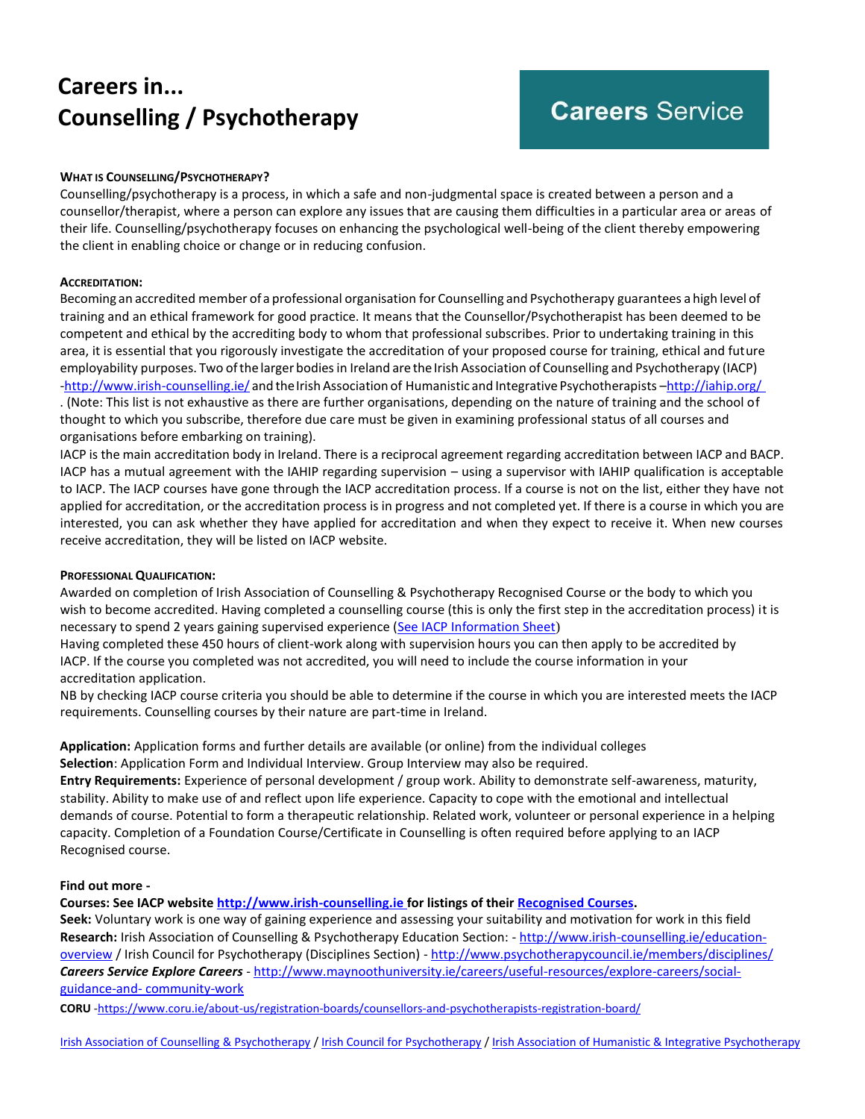# **Careers in... Counselling / Psychotherapy**

# **Careers Service**

### **WHAT IS COUNSELLING/PSYCHOTHERAPY?**

Counselling/psychotherapy is a process, in which a safe and non-judgmental space is created between a person and a counsellor/therapist, where a person can explore any issues that are causing them difficulties in a particular area or areas of their life. Counselling/psychotherapy focuses on enhancing the psychological well-being of the client thereby empowering the client in enabling choice or change or in reducing confusion.

#### **ACCREDITATION:**

Becoming an accredited member ofa professional organisation for Counselling and Psychotherapy guarantees a high level of training and an ethical framework for good practice. It means that the Counsellor/Psychotherapist has been deemed to be competent and ethical by the accrediting body to whom that professional subscribes. Prior to undertaking training in this area, it is essential that you rigorously investigate the accreditation of your proposed course for training, ethical and future employability purposes. Two ofthe larger bodiesin Ireland are the Irish Association of Counselling and Psychotherapy (IACP) [-http://www.irish-counselling.ie/](http://www.irish-counselling.ie/) and theIrish Association of Humanistic and Integrative Psychotherapists –<http://iahip.org/> . (Note: This list is not exhaustive as there are further organisations, depending on the nature of training and the school of thought to which you subscribe, therefore due care must be given in examining professional status of all courses and organisations before embarking on training).

IACP is the main accreditation body in Ireland. There is a reciprocal agreement regarding accreditation between IACP and BACP. IACP has a mutual agreement with the IAHIP regarding supervision – using a supervisor with IAHIP qualification is acceptable to IACP. The IACP courses have gone through the IACP accreditation process. If a course is not on the list, either they have not applied for accreditation, or the accreditation process is in progress and not completed yet. If there is a course in which you are interested, you can ask whether they have applied for accreditation and when they expect to receive it. When new courses receive accreditation, they will be listed on IACP website.

#### **PROFESSIONAL QUALIFICATION:**

Awarded on completion of Irish Association of Counselling & Psychotherapy Recognised Course or the body to which you wish to become accredited. Having completed a counselling course (this is only the first step in the accreditation process) it is necessary to spend 2 years gaining supervised experience [\(See IACP Information Sheet](http://www.irish-counselling.ie/accredited-membership-iacp))

Having completed these 450 hours of client-work along with supervision hours you can then apply to be accredited by IACP. If the course you completed was not accredited, you will need to include the course information in your accreditation application.

NB by checking IACP course criteria you should be able to determine if the course in which you are interested meets the IACP requirements. Counselling courses by their nature are part-time in Ireland.

**Application:** Application forms and further details are available (or online) from the individual colleges

**Selection**: Application Form and Individual Interview. Group Interview may also be required.

**Entry Requirements:** Experience of personal development / group work. Ability to demonstrate self-awareness, maturity, stability. Ability to make use of and reflect upon life experience. Capacity to cope with the emotional and intellectual demands of course. Potential to form a therapeutic relationship. Related work, volunteer or personal experience in a helping capacity. Completion of a Foundation Course/Certificate in Counselling is often required before applying to an IACP Recognised course.

#### **Find out more -**

**Courses: See IACP website [http://www.irish-counselling.ie f](http://www.irish-counselling.ie/)or listings of thei[r Recognised Courses.](https://iacp.ie/register-of-accredited-courses)**

**Seek:** Voluntary work is one way of gaining experience and assessing your suitability and motivation for work in this field **Research:** Irish Association of Counselling & Psychotherapy Education Section: - [http://www.irish-counselling.ie/education](http://www.irish-counselling.ie/education-overview)[overview](http://www.irish-counselling.ie/education-overview) / Irish Council for Psychotherapy (Disciplines Section) - <http://www.psychotherapycouncil.ie/members/disciplines/> *Careers Service Explore Careers* - [http://www.maynoothuniversity.ie/careers/useful-resources/explore-careers/social](http://www.maynoothuniversity.ie/careers/useful-resources/explore-careers/social-guidance-and-community-work)[guidance-and-](http://www.maynoothuniversity.ie/careers/useful-resources/explore-careers/social-guidance-and-community-work) [community-work](http://www.maynoothuniversity.ie/careers/useful-resources/explore-careers/social-guidance-and-community-work)

**CORU** [-https://www.coru.ie/about-us/registration-boards/counsellors-and-psychotherapists-registration-board/](https://www.coru.ie/about-us/registration-boards/counsellors-and-psychotherapists-registration-board/)